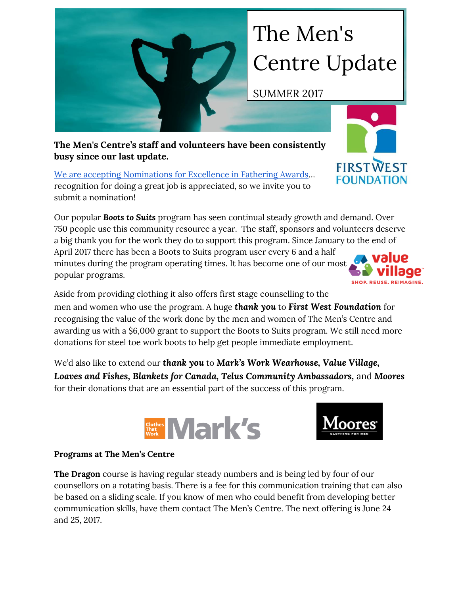## The Men's Centre Update

SUMMER 2017

**The Men's Centre's staff and volunteers have been consistently busy since our last update.** 

[We are accepting Nominations for Excellence in Fathering Awards](http://themenscentre.ca/wp-content/uploads/2017/06/ExcellenceinFatheringAwardNominationForm1.pdf)… recognition for doing a great job is appreciated, so we invite you to submit a nomination!

Our popular *Boots to Suits* program has seen continual steady growth and demand. Over 750 people use this community resource a year. The staff, sponsors and volunteers deserve a big thank you for the work they do to support this program. Since January to the end of April 2017 there has been a Boots to Suits program user every 6 and a half minutes during the program operating times. It has become one of our most

Aside from providing clothing it also offers first stage counselling to the men and women who use the program. A huge *thank you* to *First West Foundation* for recognising the value of the work done by the men and women of The Men's Centre and awarding us with a \$6,000 grant to support the Boots to Suits program. We still need more donations for steel toe work boots to help get people immediate employment.

We'd also like to extend our *thank you* to *Mark's Work Wearhouse, Value Village, Loaves and Fishes, Blankets for Canada, Telus Community Ambassadors,* and *Moores* for their donations that are an essential part of the success of this program.

**Souther Mark's** 



popular programs.

**The Dragon** course is having regular steady numbers and is being led by four of our counsellors on a rotating basis. There is a fee for this communication training that can also be based on a sliding scale. If you know of men who could benefit from developing better communication skills, have them contact The Men's Centre. The next offering is June 24 and 25, 2017.







**FIRSTWEST FOUNDATION**